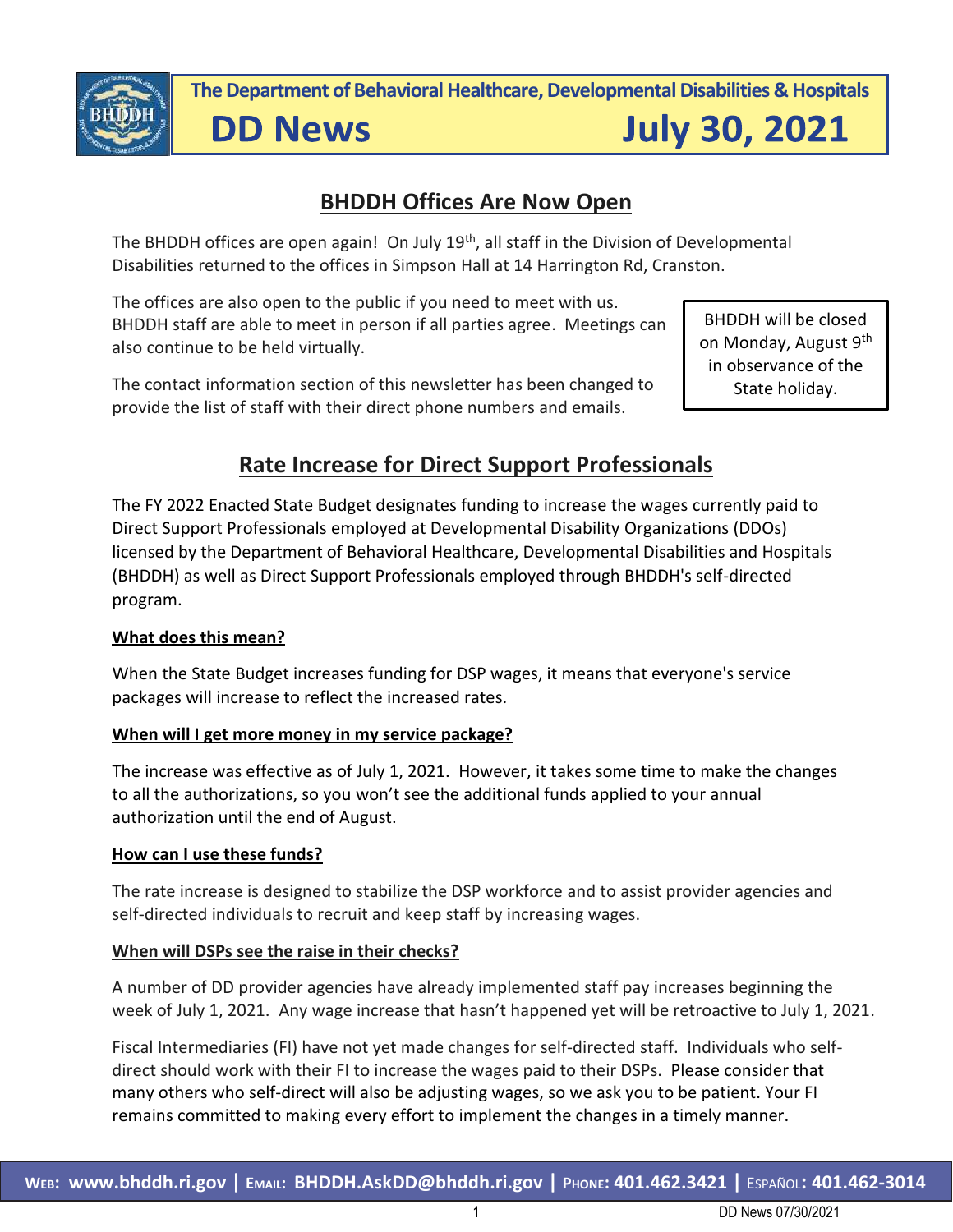

**The Department of Behavioral Healthcare, Developmental Disabilities & Hospitals**

**DD News** 

**July 30, 2021** 

## **BHDDH Offices Are Now Open**

The BHDDH offices are open again! On July 19<sup>th</sup>, all staff in the Division of Developmental Disabilities returned to the offices in Simpson Hall at 14 Harrington Rd, Cranston.

The offices are also open to the public if you need to meet with us. BHDDH staff are able to meet in person if all parties agree. Meetings can also continue to be held virtually.

The contact information section of this newsletter has been changed to provide the list of staff with their direct phone numbers and emails.

BHDDH will be closed on Monday, August 9th in observance of the State holiday.

## **Rate Increase for Direct Support Professionals**

The FY 2022 Enacted State Budget designates funding to increase the wages currently paid to Direct Support Professionals employed at Developmental Disability Organizations (DDOs) licensed by the Department of Behavioral Healthcare, Developmental Disabilities and Hospitals (BHDDH) as well as Direct Support Professionals employed through BHDDH's self-directed program.

#### **What does this mean?**

When the State Budget increases funding for DSP wages, it means that everyone's service packages will increase to reflect the increased rates.

#### **When will I get more money in my service package?**

The increase was effective as of July 1, 2021. However, it takes some time to make the changes to all the authorizations, so you won't see the additional funds applied to your annual authorization until the end of August.

#### **How can I use these funds?**

The rate increase is designed to stabilize the DSP workforce and to assist provider agencies and self-directed individuals to recruit and keep staff by increasing wages.

#### **When will DSPs see the raise in their checks?**

A number of DD provider agencies have already implemented staff pay increases beginning the week of July 1, 2021. Any wage increase that hasn't happened yet will be retroactive to July 1, 2021.

Fiscal Intermediaries (FI) have not yet made changes for self-directed staff. Individuals who selfdirect should work with their FI to increase the wages paid to their DSPs. Please consider that many others who self-direct will also be adjusting wages, so we ask you to be patient. Your FI remains committed to making every effort to implement the changes in a timely manner.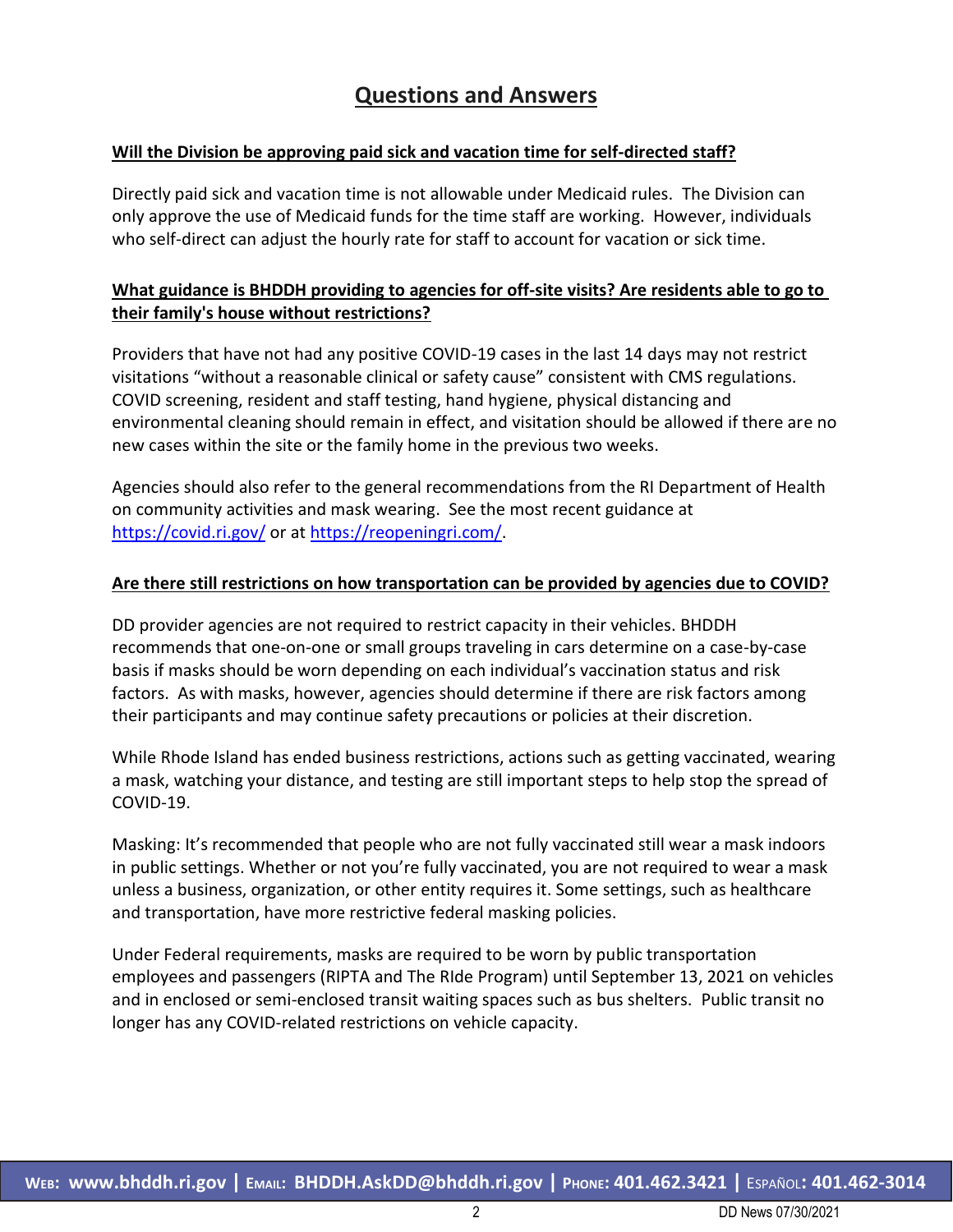## **Questions and Answers**

#### **Will the Division be approving paid sick and vacation time for self-directed staff?**

Directly paid sick and vacation time is not allowable under Medicaid rules. The Division can only approve the use of Medicaid funds for the time staff are working. However, individuals who self-direct can adjust the hourly rate for staff to account for vacation or sick time.

#### **What guidance is BHDDH providing to agencies for off-site visits? Are residents able to go to their family's house without restrictions?**

Providers that have not had any positive COVID-19 cases in the last 14 days may not restrict visitations "without a reasonable clinical or safety cause" consistent with CMS regulations. COVID screening, resident and staff testing, hand hygiene, physical distancing and environmental cleaning should remain in effect, and visitation should be allowed if there are no new cases within the site or the family home in the previous two weeks.

Agencies should also refer to the general recommendations from the RI Department of Health on community activities and mask wearing. See the most recent guidance at <https://covid.ri.gov/> or at [https://reopeningri.com/.](https://reopeningri.com/)

#### **Are there still restrictions on how transportation can be provided by agencies due to COVID?**

DD provider agencies are not required to restrict capacity in their vehicles. BHDDH recommends that one-on-one or small groups traveling in cars determine on a case-by-case basis if masks should be worn depending on each individual's vaccination status and risk factors. As with masks, however, agencies should determine if there are risk factors among their participants and may continue safety precautions or policies at their discretion.

While Rhode Island has ended business restrictions, actions such as getting vaccinated, wearing a mask, watching your distance, and testing are still important steps to help stop the spread of COVID-19.

Masking: It's recommended that people who are not fully vaccinated still wear a mask indoors in public settings. Whether or not you're fully vaccinated, you are not required to wear a mask unless a business, organization, or other entity requires it. Some settings, such as healthcare and transportation, have more restrictive federal masking policies.

Under Federal requirements, masks are required to be worn by public transportation employees and passengers (RIPTA and The RIde Program) until September 13, 2021 on vehicles and in enclosed or semi-enclosed transit waiting spaces such as bus shelters. Public transit no longer has any COVID-related restrictions on vehicle capacity.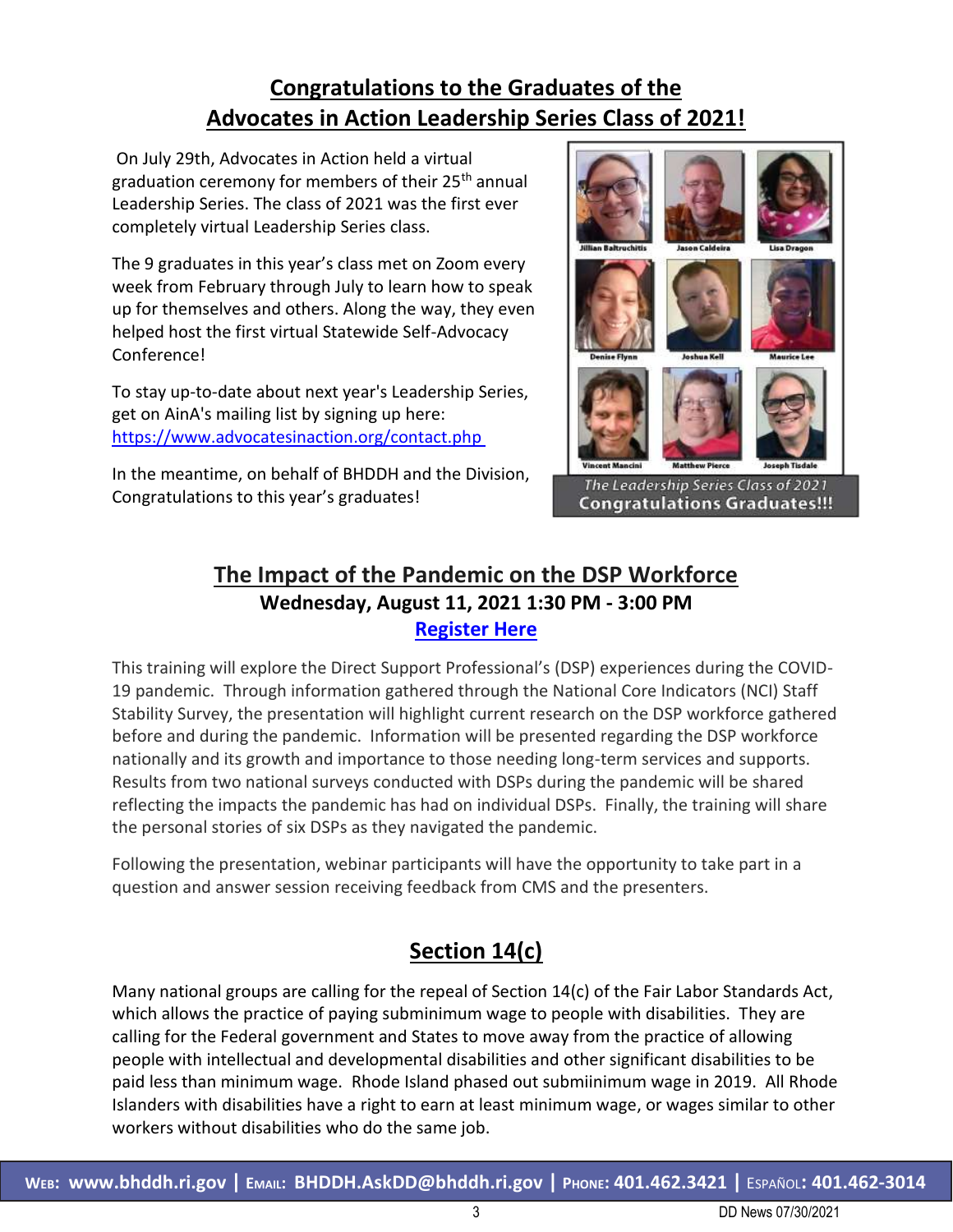# **Congratulations to the Graduates of the Advocates in Action Leadership Series Class of 2021!**

On July 29th, Advocates in Action held a virtual graduation ceremony for members of their 25<sup>th</sup> annual Leadership Series. The class of 2021 was the first ever completely virtual Leadership Series class.

The 9 graduates in this year's class met on Zoom every week from February through July to learn how to speak up for themselves and others. Along the way, they even helped host the first virtual Statewide Self-Advocacy Conference!

To stay up-to-date about next year's Leadership Series, get on AinA's mailing list by signing up here: [https://www.advocatesinaction.org/contact.php](https://urldefense.com/v3/__https:/www.advocatesinaction.org/contact.php__;!!KKphUJtCzQ!fuYjaLqeHVDhYbrAfx-ygNGL8xYEbAdQgPlbOeZZI84_RPs7lRyq71ykcFhY3IPExwP257Y$) 

In the meantime, on behalf of BHDDH and the Division, Congratulations to this year's graduates!



**Congratulations Graduates!!!** 

## **The Impact of the Pandemic on the DSP Workforce Wednesday, August 11, 2021 1:30 PM - 3:00 PM [Register Here](https://events-na8.adobeconnect.com/content/connect/c1/1108472965/en/events/event/shared/default_template/event_landing.html?sco-id=3592720902&_charset_=utf-8)**

This training will explore the Direct Support Professional's (DSP) experiences during the COVID-19 pandemic. Through information gathered through the National Core Indicators (NCI) Staff Stability Survey, the presentation will highlight current research on the DSP workforce gathered before and during the pandemic. Information will be presented regarding the DSP workforce nationally and its growth and importance to those needing long-term services and supports. Results from two national surveys conducted with DSPs during the pandemic will be shared reflecting the impacts the pandemic has had on individual DSPs. Finally, the training will share the personal stories of six DSPs as they navigated the pandemic.

Following the presentation, webinar participants will have the opportunity to take part in a question and answer session receiving feedback from CMS and the presenters.

# **Section 14(c)**

Many national groups are calling for the repeal of Section 14(c) of the Fair Labor Standards Act, which allows the practice of paying subminimum wage to people with disabilities. They are calling for the Federal government and States to move away from the practice of allowing people with intellectual and developmental disabilities and other significant disabilities to be paid less than minimum wage. Rhode Island phased out submiinimum wage in 2019. All Rhode Islanders with disabilities have a right to earn at least minimum wage, or wages similar to other workers without disabilities who do the same job.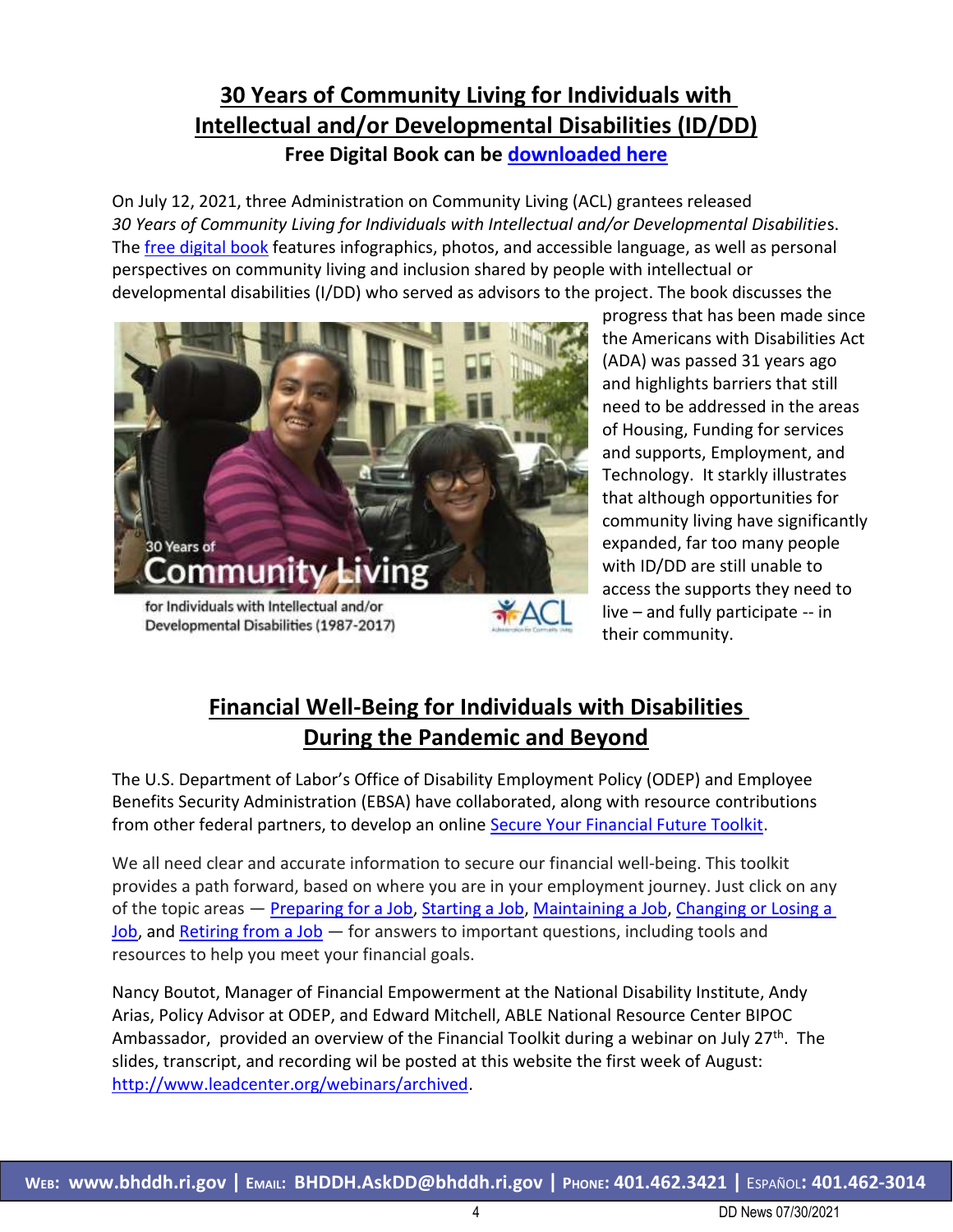## **30 Years of Community Living for Individuals with Intellectual and/or Developmental Disabilities (ID/DD) Free Digital Book can be [downloaded here](https://acl.gov/30years)**

On July 12, 2021, three Administration on Community Living (ACL) grantees released *30 Years of Community Living for Individuals with Intellectual and/or Developmental Disabilitie*s. The [free digital book](https://acl.gov/sites/default/files/Aging%20and%20Disability%20in%20America/30%20Years%207-13-21.pdf) features infographics, photos, and accessible language, as well as personal perspectives on community living and inclusion shared by people with intellectual or developmental disabilities (I/DD) who served as advisors to the project. The book discusses the



progress that has been made since the Americans with Disabilities Act (ADA) was passed 31 years ago and highlights barriers that still need to be addressed in the areas of Housing, Funding for services and supports, Employment, and Technology. It starkly illustrates that although opportunities for community living have significantly expanded, far too many people with ID/DD are still unable to access the supports they need to live – and fully participate -- in their community.

# **Financial Well-Being for Individuals with Disabilities During the Pandemic and Beyond**

The U.S. Department of Labor's Office of Disability Employment Policy (ODEP) and Employee Benefits Security Administration (EBSA) have collaborated, along with resource contributions from other federal partners, to develop an online [Secure Your Financial Future Toolkit.](https://www.dol.gov/agencies/ebsa/secure-your-financial-future)

We all need clear and accurate information to secure our financial well-being. This toolkit provides a path forward, based on where you are in your employment journey. Just click on any of the topic areas — [Preparing for a Job,](https://www.dol.gov/agencies/ebsa/secure-your-financial-future/preparing-for-a-job) [Starting a Job,](https://www.dol.gov/agencies/ebsa/secure-your-financial-future/starting-a-job) [Maintaining a Job,](https://www.dol.gov/agencies/ebsa/secure-your-financial-future/maintaining-a-job) Changing or Losing a [Job,](https://www.dol.gov/agencies/ebsa/secure-your-financial-future/changing-or-losing-a-job) and [Retiring from a Job](https://www.dol.gov/agencies/ebsa/secure-your-financial-future/retiring-from-a-job) – for answers to important questions, including tools and resources to help you meet your financial goals.

Nancy Boutot, Manager of Financial Empowerment at the National Disability Institute, Andy Arias, Policy Advisor at ODEP, and Edward Mitchell, ABLE National Resource Center BIPOC Ambassador, provided an overview of the Financial Toolkit during a webinar on July 27<sup>th</sup>. The slides, transcript, and recording wil be posted at this website the first week of August: [http://www.leadcenter.org/webinars/archived.](http://www.leadcenter.org/webinars/archived)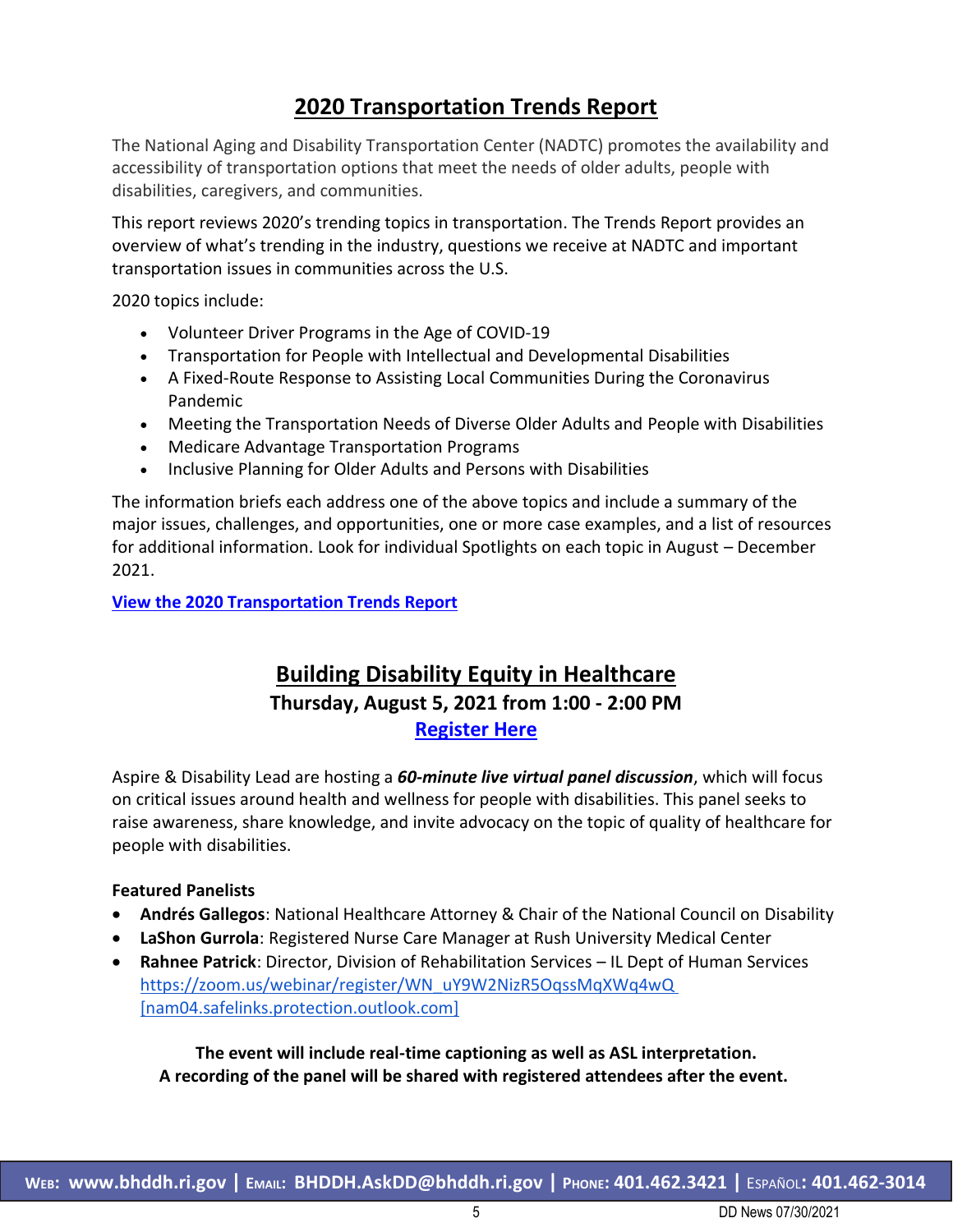## **2020 Transportation Trends Report**

The National Aging and Disability Transportation Center (NADTC) promotes the availability and accessibility of transportation options that meet the needs of older adults, people with disabilities, caregivers, and communities.

This report reviews 2020's trending topics in transportation. The Trends Report provides an overview of what's trending in the industry, questions we receive at NADTC and important transportation issues in communities across the U.S.

2020 topics include:

- Volunteer Driver Programs in the Age of COVID-19
- Transportation for People with Intellectual and Developmental Disabilities
- A Fixed-Route Response to Assisting Local Communities During the Coronavirus Pandemic
- Meeting the Transportation Needs of Diverse Older Adults and People with Disabilities
- Medicare Advantage Transportation Programs
- Inclusive Planning for Older Adults and Persons with Disabilities

The information briefs each address one of the above topics and include a summary of the major issues, challenges, and opportunities, one or more case examples, and a list of resources for additional information. Look for individual Spotlights on each topic in August – December 2021.

**[View the 2020 Transportation Trends Report](https://www.nadtc.org/wp-content/uploads/2020-Trends-Report-FINAL-II.pdf)**

#### **Building Disability Equity in Healthcare Thursday, August 5, 2021 from 1:00 - 2:00 PM [Register Here](https://zoom.us/webinar/register/WN_uY9W2NizR5OqssMqXWq4wQ)**

Aspire & Disability Lead are hosting a *60-minute live virtual panel discussion*, which will focus on critical issues around health and wellness for people with disabilities. This panel seeks to raise awareness, share knowledge, and invite advocacy on the topic of quality of healthcare for people with disabilities.

#### **Featured Panelists**

- **Andrés Gallegos**: National Healthcare Attorney & Chair of the National Council on Disability
- **LaShon Gurrola**: Registered Nurse Care Manager at Rush University Medical Center
- **Rahnee Patrick**: Director, Division of Rehabilitation Services IL Dept of Human Services [https://zoom.us/webinar/register/WN\\_uY9W2NizR5OqssMqXWq4wQ](https://urldefense.com/v3/__https:/nam04.safelinks.protection.outlook.com/?url=https*3A*2F*2Fzoom.us*2Fwebinar*2Fregister*2FWN_uY9W2NizR5OqssMqXWq4wQ&data=04*7C01*7CHMALERTS*40LISTSERV.UIC.EDU*7C2679fe6ec5d34c9a5cbf08d95144016b*7Ce202cd477a564baa99e3e3b71a7c77dd*7C0*7C0*7C637630174778345378*7CUnknown*7CTWFpbGZsb3d8eyJWIjoiMC4wLjAwMDAiLCJQIjoiV2luMzIiLCJBTiI6Ik1haWwiLCJXVCI6Mn0*3D*7C1000&sdata=TLdvP0X5ppUXGAeOEYFDnOj4tPTGfq6cpqpTuEYjCBM*3D&reserved=0__;JSUlJSUlJSUlJSUlJSUlJSUlJQ!!KKphUJtCzQ!b1NdYWYa7eY71f35X2NLbs-8a280QV6NpQARLBni2cW-kjBpVJzvRYS8-JfL2ClyZ8_p6i4$)  [\[nam04.safelinks.protection.outlook.com\]](https://urldefense.com/v3/__https:/nam04.safelinks.protection.outlook.com/?url=https*3A*2F*2Fzoom.us*2Fwebinar*2Fregister*2FWN_uY9W2NizR5OqssMqXWq4wQ&data=04*7C01*7CHMALERTS*40LISTSERV.UIC.EDU*7C2679fe6ec5d34c9a5cbf08d95144016b*7Ce202cd477a564baa99e3e3b71a7c77dd*7C0*7C0*7C637630174778345378*7CUnknown*7CTWFpbGZsb3d8eyJWIjoiMC4wLjAwMDAiLCJQIjoiV2luMzIiLCJBTiI6Ik1haWwiLCJXVCI6Mn0*3D*7C1000&sdata=TLdvP0X5ppUXGAeOEYFDnOj4tPTGfq6cpqpTuEYjCBM*3D&reserved=0__;JSUlJSUlJSUlJSUlJSUlJSUlJQ!!KKphUJtCzQ!b1NdYWYa7eY71f35X2NLbs-8a280QV6NpQARLBni2cW-kjBpVJzvRYS8-JfL2ClyZ8_p6i4$)

**The event will include real-time captioning as well as ASL interpretation. A recording of the panel will be shared with registered attendees after the event.**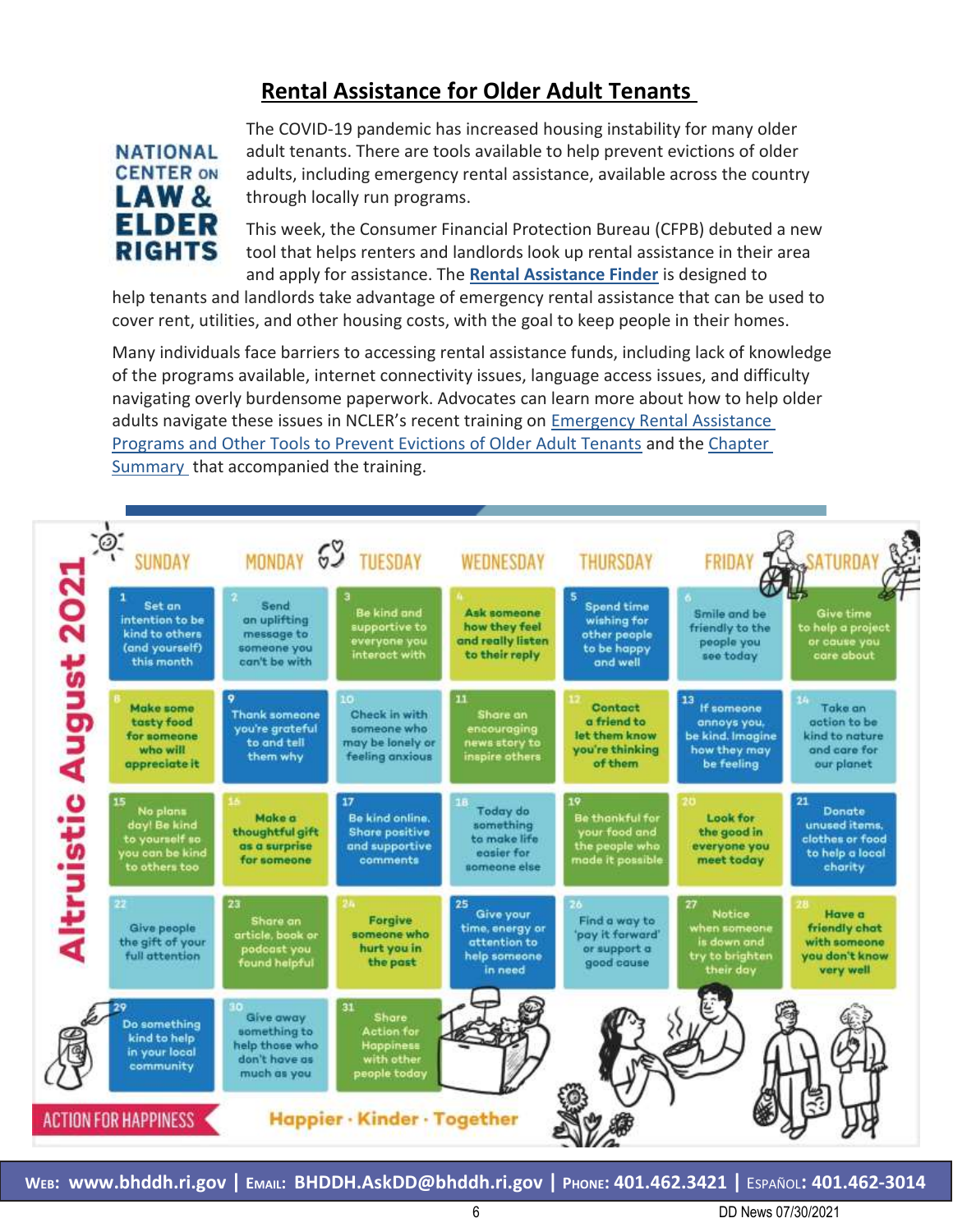## **Rental Assistance for Older Adult Tenants**



The COVID-19 pandemic has increased housing instability for many older adult tenants. There are tools available to help prevent evictions of older adults, including emergency rental assistance, available across the country through locally run programs.

This week, the Consumer Financial Protection Bureau (CFPB) debuted a new tool that helps renters and landlords look up rental assistance in their area and apply for assistance. The **[Rental Assistance Finder](https://urldefense.com/v3/__https:/default.salsalabs.org/T3aa7db68-fb3e-4d54-818e-ad6a13609c0d/db0d7d42-5789-4f9f-96e6-96451ba79fb8__;!!KKphUJtCzQ!YkJq7bV6TthA5fmhONYKZBsFd6DDHxCPFkaTAN6b_ZBUCUxHh9OMD9GVd7AgSkacJi9JOmE$)** is designed to

help tenants and landlords take advantage of emergency rental assistance that can be used to cover rent, utilities, and other housing costs, with the goal to keep people in their homes.

Many individuals face barriers to accessing rental assistance funds, including lack of knowledge of the programs available, internet connectivity issues, language access issues, and difficulty navigating overly burdensome paperwork. Advocates can learn more about how to help older adults navigate these issues in NCLER's recent training on [Emergency Rental Assistance](https://urldefense.com/v3/__https:/default.salsalabs.org/T8184015b-55d0-481f-a9e4-b0b475cbdaa4/db0d7d42-5789-4f9f-96e6-96451ba79fb8__;!!KKphUJtCzQ!YkJq7bV6TthA5fmhONYKZBsFd6DDHxCPFkaTAN6b_ZBUCUxHh9OMD9GVd7AgSkacmsd0VLc$)  [Programs and Other Tools to Prevent Evictions of Older Adult Tenants](https://urldefense.com/v3/__https:/default.salsalabs.org/T8184015b-55d0-481f-a9e4-b0b475cbdaa4/db0d7d42-5789-4f9f-96e6-96451ba79fb8__;!!KKphUJtCzQ!YkJq7bV6TthA5fmhONYKZBsFd6DDHxCPFkaTAN6b_ZBUCUxHh9OMD9GVd7AgSkacmsd0VLc$) and the [Chapter](https://urldefense.com/v3/__https:/default.salsalabs.org/Tefdcd70b-55fa-4de2-9769-49bb8648f9d0/db0d7d42-5789-4f9f-96e6-96451ba79fb8__;!!KKphUJtCzQ!YkJq7bV6TthA5fmhONYKZBsFd6DDHxCPFkaTAN6b_ZBUCUxHh9OMD9GVd7AgSkacd6hxnVo$)  [Summary](https://urldefense.com/v3/__https:/default.salsalabs.org/Tefdcd70b-55fa-4de2-9769-49bb8648f9d0/db0d7d42-5789-4f9f-96e6-96451ba79fb8__;!!KKphUJtCzQ!YkJq7bV6TthA5fmhONYKZBsFd6DDHxCPFkaTAN6b_ZBUCUxHh9OMD9GVd7AgSkacd6hxnVo$) that accompanied the training.

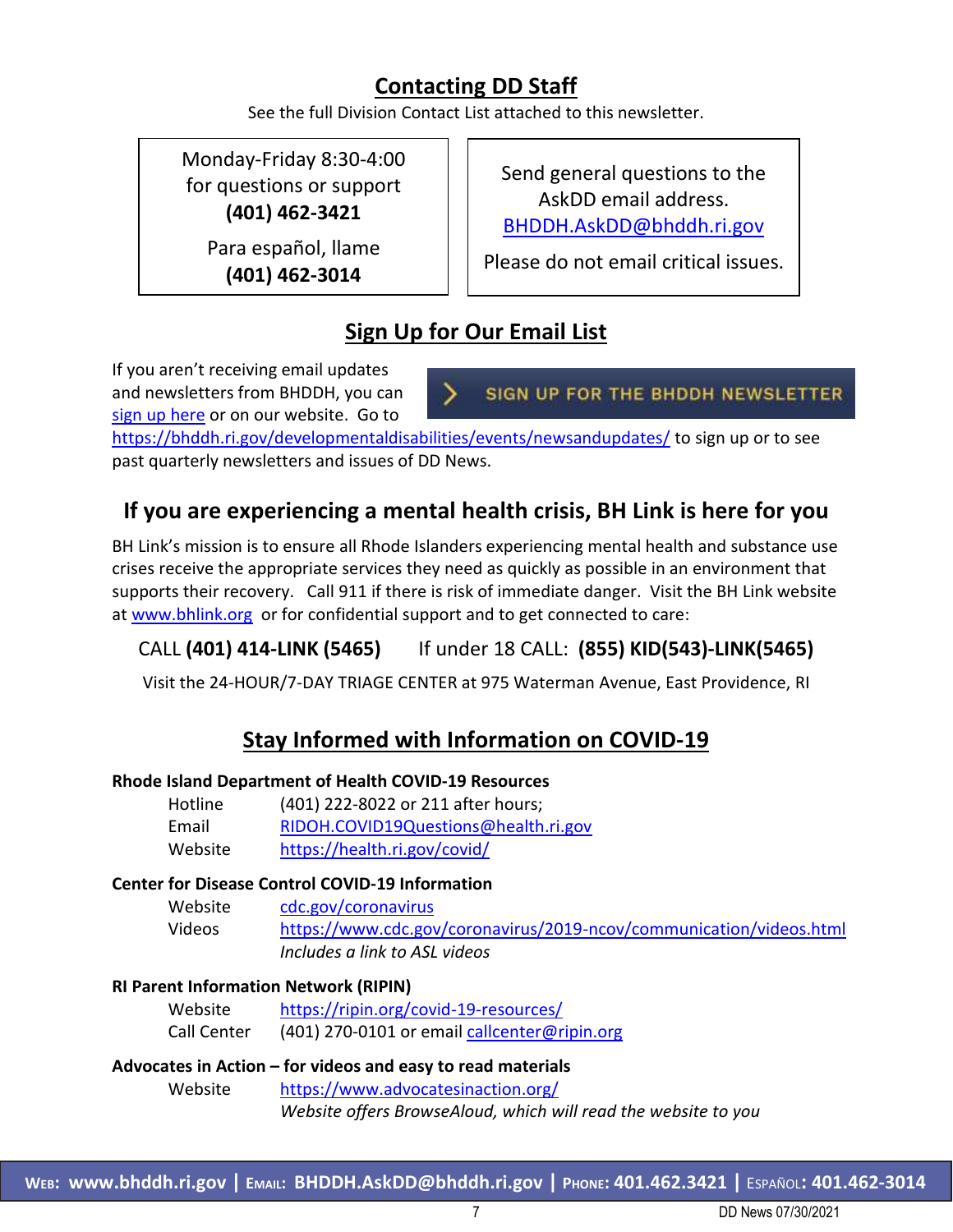## **Contacting DD Staff**

See the full Division Contact List attached to this newsletter.

Monday-Friday 8:30-4:00 for questions or support **(401) 462-3421**

> Para español, llame **(401) 462-3014**

Send general questions to the AskDD email address. [BHDDH.AskDD@bhddh.ri.gov](mailto:BHDDH.AskDD@bhddh.ri.gov)

Please do not email critical issues.

# **Sign Up for Our Email List**

If you aren't receiving email updates and newsletters from BHDDH, you can [sign up here](https://visitor.r20.constantcontact.com/manage/optin?v=001eqFath_w1XkYArH2x0GW8bc7GVDqsDyWPJIEAFzZva8gz_TPfL5twTJBMX31wroDseZVoKARm5p2-EIVxblCOz0_xHCYHhe-czFB5H3Zw4I%3D) or on our website. Go to

SIGN UP FOR THE BHDDH NEWSLETTER

<https://bhddh.ri.gov/developmentaldisabilities/events/newsandupdates/> to sign up or to see past quarterly newsletters and issues of DD News.

## **If you are experiencing a mental health crisis, BH Link is here for you**

BH Link's mission is to ensure all Rhode Islanders experiencing mental health and substance use crises receive the appropriate services they need as quickly as possible in an environment that supports their recovery. Call 911 if there is risk of immediate danger. Visit the BH Link website at [www.bhlink.org](http://www.bhlink.org/) or for confidential support and to get connected to care:

#### CALL **(401) 414-LINK (5465)** If under 18 CALL: **(855) KID(543)-LINK(5465)**

Visit the 24-HOUR/7-DAY TRIAGE CENTER at 975 Waterman Avenue, East Providence, RI

## **Stay Informed with Information on COVID-19**

#### **Rhode Island Department of Health COVID-19 Resources**

| Hotline | (401) 222-8022 or 211 after hours;   |
|---------|--------------------------------------|
| Email   | RIDOH.COVID19Questions@health.ri.gov |
| Website | https://health.ri.gov/covid/         |

#### **Center for Disease Control COVID-19 Information**

Website [cdc.gov/coronavirus](http://www.cdc.gov/coronavirus)  Videos <https://www.cdc.gov/coronavirus/2019-ncov/communication/videos.html> *Includes a link to ASL videos*

#### **RI Parent Information Network (RIPIN)**

| Website     | https://ripin.org/covid-19-resources/        |
|-------------|----------------------------------------------|
| Call Center | (401) 270-0101 or email callcenter@ripin.org |

## **Advocates in Action – for videos and easy to read materials** Website <https://www.advocatesinaction.org/>

*Website offers BrowseAloud, which will read the website to you*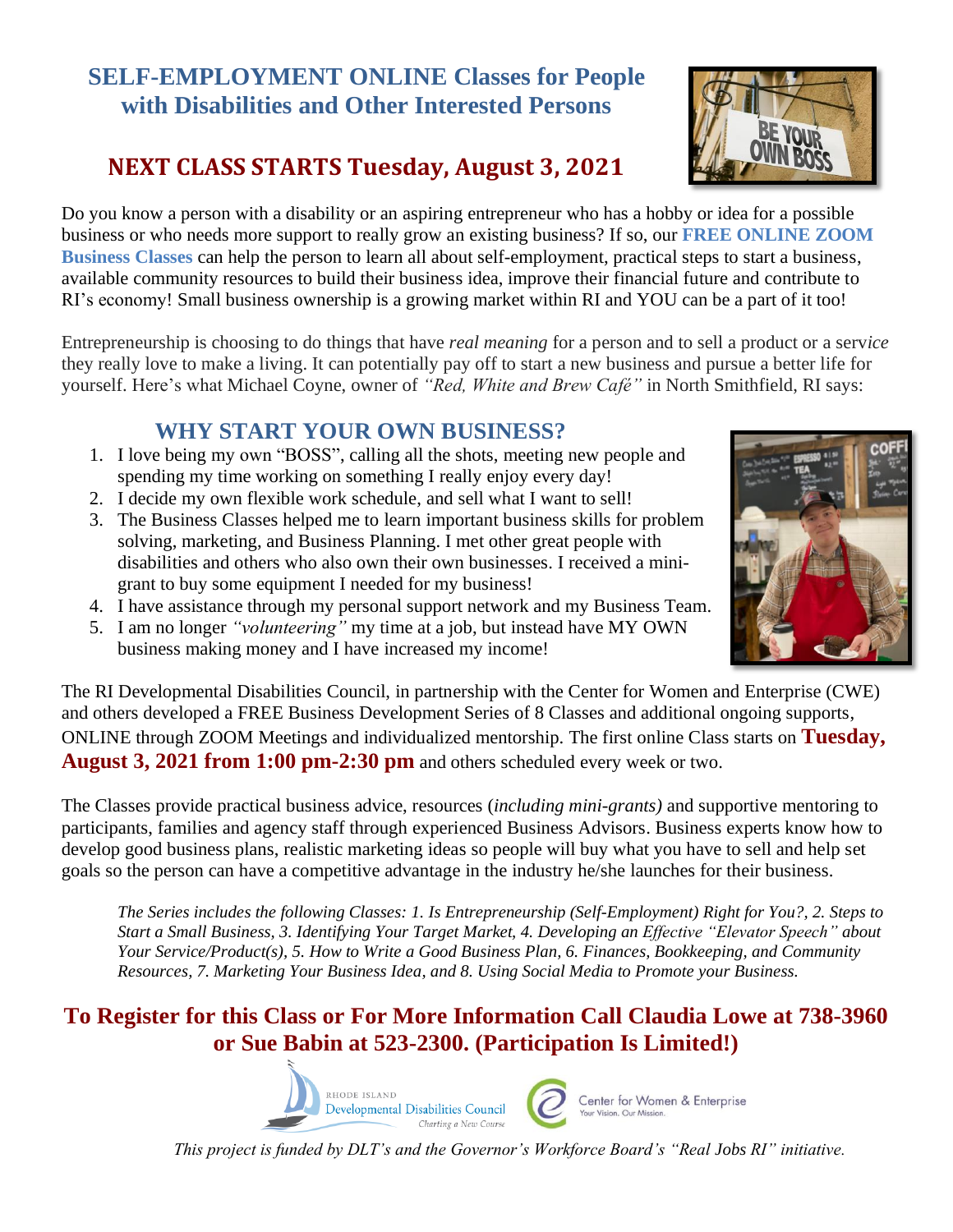# **SELF-EMPLOYMENT ONLINE Classes for People with Disabilities and Other Interested Persons**

# **NEXT CLASS STARTS Tuesday, August 3, 2021**

Do you know a person with a disability or an aspiring entrepreneur who has a hobby or idea for a possible business or who needs more support to really grow an existing business? If so, our **FREE ONLINE ZOOM Business Classes** can help the person to learn all about self-employment, practical steps to start a business, available community resources to build their business idea, improve their financial future and contribute to RI's economy! Small business ownership is a growing market within RI and YOU can be a part of it too!

Entrepreneurship is choosing to do things that have *real meaning* for a person and to sell a product or a serv*ice* they really love to make a living. It can potentially pay off to start a new business and pursue a better life for yourself. Here's what Michael Coyne, owner of *"Red, White and Brew Café"* in North Smithfield, RI says:

## **WHY START YOUR OWN BUSINESS?**

- 1. I love being my own "BOSS", calling all the shots, meeting new people and spending my time working on something I really enjoy every day!
- 2. I decide my own flexible work schedule, and sell what I want to sell!
- 3. The Business Classes helped me to learn important business skills for problem solving, marketing, and Business Planning. I met other great people with disabilities and others who also own their own businesses. I received a minigrant to buy some equipment I needed for my business!
- 4. I have assistance through my personal support network and my Business Team.
- 5. I am no longer *"volunteering"* my time at a job, but instead have MY OWN business making money and I have increased my income!

The RI Developmental Disabilities Council, in partnership with the Center for Women and Enterprise (CWE) and others developed a FREE Business Development Series of 8 Classes and additional ongoing supports, ONLINE through ZOOM Meetings and individualized mentorship. The first online Class starts on **Tuesday, August 3, 2021 from 1:00 pm-2:30 pm** and others scheduled every week or two.

The Classes provide practical business advice, resources (*including mini-grants)* and supportive mentoring to participants, families and agency staff through experienced Business Advisors. Business experts know how to develop good business plans, realistic marketing ideas so people will buy what you have to sell and help set goals so the person can have a competitive advantage in the industry he/she launches for their business.

*The Series includes the following Classes: 1. Is Entrepreneurship (Self-Employment) Right for You?, 2. Steps to Start a Small Business, 3. Identifying Your Target Market, 4. Developing an Effective "Elevator Speech" about Your Service/Product(s), 5. How to Write a Good Business Plan, 6. Finances, Bookkeeping, and Community Resources, 7. Marketing Your Business Idea, and 8. Using Social Media to Promote your Business.*

## **To Register for this Class or For More Information Call Claudia Lowe at 738-3960 or Sue Babin at 523-2300. (Participation Is Limited!)**

*This project is funded by DLT's and the Governor's Workforce Board's "Real Jobs RI" initiative.*









Center for Women & Enterprise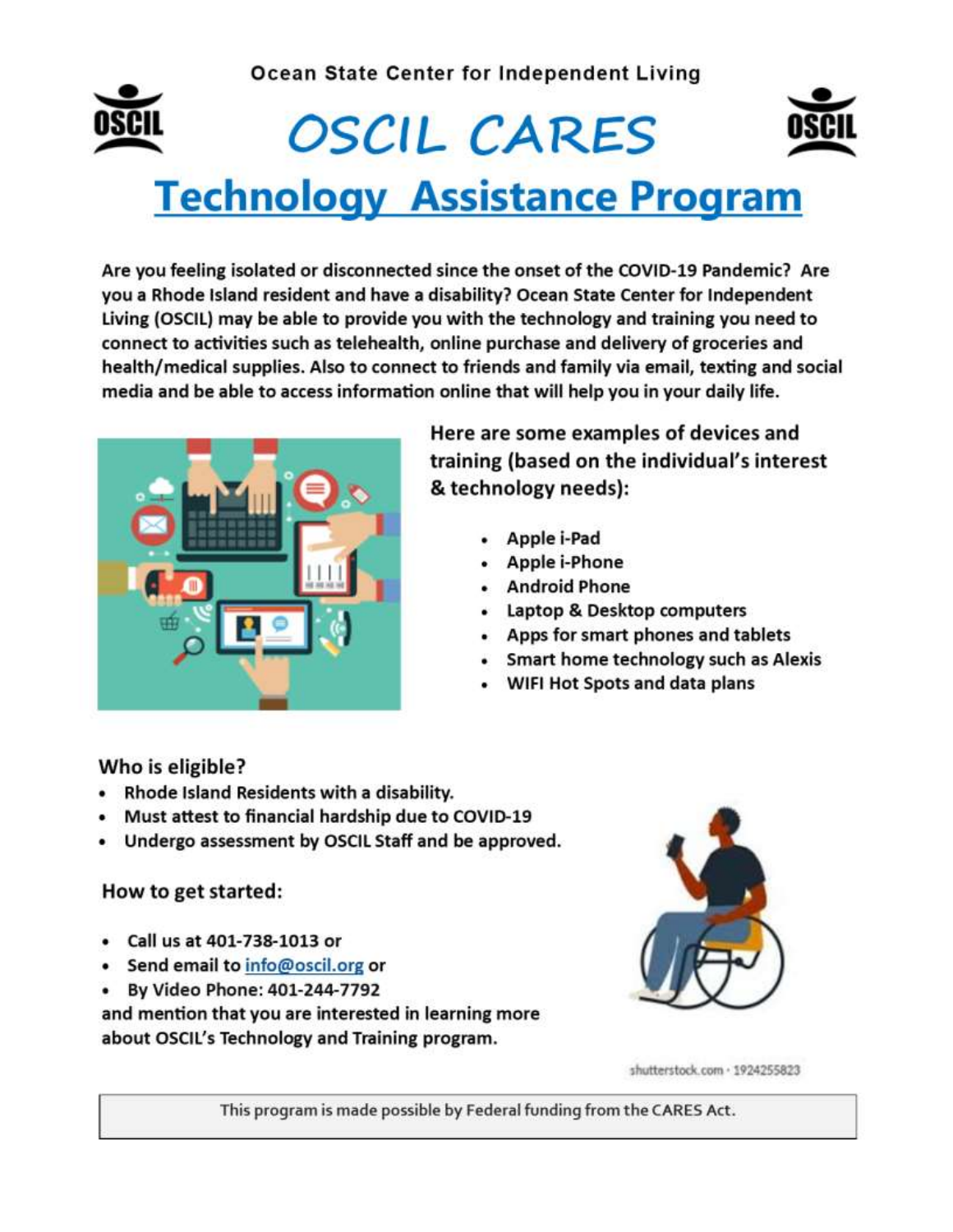#### Ocean State Center for Independent Living



# **OSCIL CARES Technology Assistance Program**

Are you feeling isolated or disconnected since the onset of the COVID-19 Pandemic? Are you a Rhode Island resident and have a disability? Ocean State Center for Independent Living (OSCIL) may be able to provide you with the technology and training you need to connect to activities such as telehealth, online purchase and delivery of groceries and health/medical supplies. Also to connect to friends and family via email, texting and social media and be able to access information online that will help you in your daily life.



Here are some examples of devices and training (based on the individual's interest & technology needs):

- · Apple i-Pad
- Apple i-Phone
- Android Phone
- Laptop & Desktop computers
- Apps for smart phones and tablets
- Smart home technology such as Alexis
- WIFI Hot Spots and data plans

Who is eligible?

- Rhode Island Residents with a disability.
- Must attest to financial hardship due to COVID-19
- Undergo assessment by OSCIL Staff and be approved.

#### How to get started:

- Call us at 401-738-1013 or
- Send email to info@oscil.org or
- By Video Phone: 401-244-7792

and mention that you are interested in learning more about OSCIL's Technology and Training program.



shutterstock.com · 1924255823

This program is made possible by Federal funding from the CARES Act.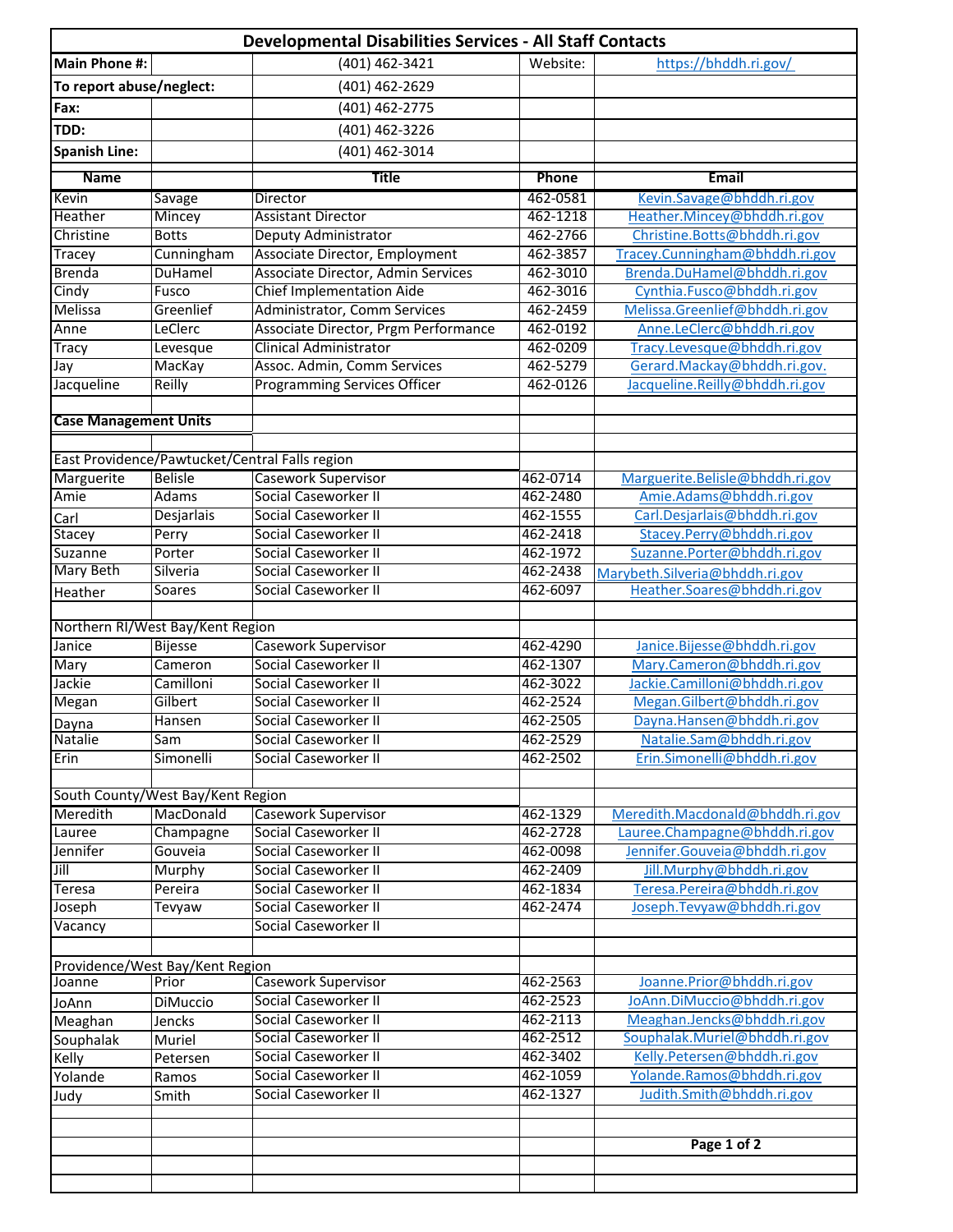|                                           |                        | <b>Developmental Disabilities Services - All Staff Contacts</b> |                      |                                                             |
|-------------------------------------------|------------------------|-----------------------------------------------------------------|----------------------|-------------------------------------------------------------|
| <b>Main Phone #:</b>                      |                        | (401) 462-3421                                                  | Website:             | https://bhddh.ri.gov/                                       |
| To report abuse/neglect:                  |                        | (401) 462-2629                                                  |                      |                                                             |
| Fax:                                      |                        | (401) 462-2775                                                  |                      |                                                             |
| TDD:                                      |                        | (401) 462-3226                                                  |                      |                                                             |
| <b>Spanish Line:</b>                      |                        | (401) 462-3014                                                  |                      |                                                             |
|                                           |                        |                                                                 |                      |                                                             |
| <b>Name</b>                               |                        | <b>Title</b>                                                    | Phone                | Email                                                       |
| Kevin<br>Heather                          | Savage                 | Director<br><b>Assistant Director</b>                           | 462-0581<br>462-1218 | Kevin.Savage@bhddh.ri.gov                                   |
| Christine                                 | Mincey<br><b>Botts</b> | Deputy Administrator                                            | 462-2766             | Heather.Mincey@bhddh.ri.gov<br>Christine.Botts@bhddh.ri.gov |
| Tracey                                    | Cunningham             | Associate Director, Employment                                  | 462-3857             | Tracey.Cunningham@bhddh.ri.gov                              |
| <b>Brenda</b>                             | DuHamel                | Associate Director, Admin Services                              | 462-3010             | Brenda.DuHamel@bhddh.ri.gov                                 |
| Cindy                                     | Fusco                  | <b>Chief Implementation Aide</b>                                | 462-3016             | Cynthia.Fusco@bhddh.ri.gov                                  |
| Melissa                                   | Greenlief              | Administrator, Comm Services                                    | 462-2459             | Melissa.Greenlief@bhddh.ri.gov                              |
| Anne                                      | LeClerc                | Associate Director, Prgm Performance                            | 462-0192             | Anne.LeClerc@bhddh.ri.gov                                   |
| Tracy                                     | Levesque               | Clinical Administrator                                          | 462-0209             | Tracy.Levesque@bhddh.ri.gov                                 |
| Jay                                       | MacKay                 | Assoc. Admin, Comm Services                                     | 462-5279             | Gerard.Mackay@bhddh.ri.gov.                                 |
| Jacqueline                                | Reilly                 | <b>Programming Services Officer</b>                             | 462-0126             | Jacqueline.Reilly@bhddh.ri.gov                              |
|                                           |                        |                                                                 |                      |                                                             |
| <b>Case Management Units</b>              |                        |                                                                 |                      |                                                             |
|                                           |                        |                                                                 |                      |                                                             |
|                                           |                        | East Providence/Pawtucket/Central Falls region                  |                      |                                                             |
| Marguerite                                | <b>Belisle</b>         | <b>Casework Supervisor</b>                                      | 462-0714             | Marguerite.Belisle@bhddh.ri.gov                             |
| Amie                                      | Adams                  | Social Caseworker II                                            | 462-2480             | Amie.Adams@bhddh.ri.gov                                     |
| Carl                                      | Desjarlais             | Social Caseworker II                                            | 462-1555             | Carl.Desjarlais@bhddh.ri.gov                                |
| Stacey                                    | Perry                  | Social Caseworker II                                            | 462-2418             | Stacey. Perry@bhddh.ri.gov                                  |
| Suzanne                                   | Porter                 | Social Caseworker II                                            | 462-1972             | Suzanne.Porter@bhddh.ri.gov                                 |
| <b>Mary Beth</b>                          | Silveria               | Social Caseworker II                                            | 462-2438             | Marybeth.Silveria@bhddh.ri.gov                              |
| Heather                                   | Soares                 | Social Caseworker II                                            | 462-6097             | Heather.Soares@bhddh.ri.gov                                 |
| Northern RI/West Bay/Kent Region          |                        |                                                                 |                      |                                                             |
| Janice                                    | <b>Bijesse</b>         | Casework Supervisor                                             | 462-4290             | Janice.Bijesse@bhddh.ri.gov                                 |
| Mary                                      | Cameron                | Social Caseworker II                                            | 462-1307             | Mary.Cameron@bhddh.ri.gov                                   |
| Jackie                                    | Camilloni              | Social Caseworker II                                            | 462-3022             | Jackie.Camilloni@bhddh.ri.gov                               |
| Megan                                     | Gilbert                | Social Caseworker II                                            | 462-2524             | Megan.Gilbert@bhddh.ri.gov                                  |
| Dayna                                     | Hansen                 | Social Caseworker II                                            | 462-2505             | Dayna.Hansen@bhddh.ri.gov                                   |
| Natalie                                   | Sam                    | Social Caseworker II                                            | 462-2529             | Natalie.Sam@bhddh.ri.gov                                    |
| Erin                                      | Simonelli              | Social Caseworker II                                            | 462-2502             | Erin.Simonelli@bhddh.ri.gov                                 |
|                                           |                        |                                                                 |                      |                                                             |
| South County/West Bay/Kent Region         |                        |                                                                 |                      |                                                             |
| Meredith                                  | MacDonald              | Casework Supervisor                                             | 462-1329             | Meredith.Macdonald@bhddh.ri.gov                             |
| Lauree                                    | Champagne              | <b>Social Caseworker II</b>                                     | 462-2728             | Lauree.Champagne@bhddh.ri.gov                               |
| Jennifer                                  | Gouveia                | Social Caseworker II                                            | 462-0098             | Jennifer.Gouveia@bhddh.ri.gov                               |
| $\overline{\mathsf{Jill}}$                | Murphy                 | Social Caseworker II                                            | 462-2409             | Jill.Murphy@bhddh.ri.gov                                    |
| <b>Teresa</b>                             | Pereira                | Social Caseworker II                                            | 462-1834             | Teresa.Pereira@bhddh.ri.gov                                 |
| Joseph                                    | Tevyaw                 | Social Caseworker II                                            | 462-2474             | Joseph.Tevyaw@bhddh.ri.gov                                  |
| Vacancy                                   |                        | Social Caseworker II                                            |                      |                                                             |
|                                           |                        |                                                                 |                      |                                                             |
| Providence/West Bay/Kent Region<br>Joanne | Prior                  |                                                                 | 462-2563             |                                                             |
|                                           |                        | <b>Casework Supervisor</b><br>Social Caseworker II              | 462-2523             | Joanne.Prior@bhddh.ri.gov<br>JoAnn.DiMuccio@bhddh.ri.gov    |
| JoAnn                                     | DiMuccio               | Social Caseworker II                                            | 462-2113             | Meaghan.Jencks@bhddh.ri.gov                                 |
| Meaghan<br>Souphalak                      | Jencks<br>Muriel       | Social Caseworker II                                            | 462-2512             | Souphalak.Muriel@bhddh.ri.gov                               |
| Kelly                                     | Petersen               | Social Caseworker II                                            | 462-3402             | Kelly.Petersen@bhddh.ri.gov                                 |
| Yolande                                   | Ramos                  | Social Caseworker II                                            | 462-1059             | Yolande.Ramos@bhddh.ri.gov                                  |
| Judy                                      | Smith                  | Social Caseworker II                                            | 462-1327             | Judith.Smith@bhddh.ri.gov                                   |
|                                           |                        |                                                                 |                      |                                                             |
|                                           |                        |                                                                 |                      |                                                             |
|                                           |                        |                                                                 |                      | Page 1 of 2                                                 |
|                                           |                        |                                                                 |                      |                                                             |
|                                           |                        |                                                                 |                      |                                                             |